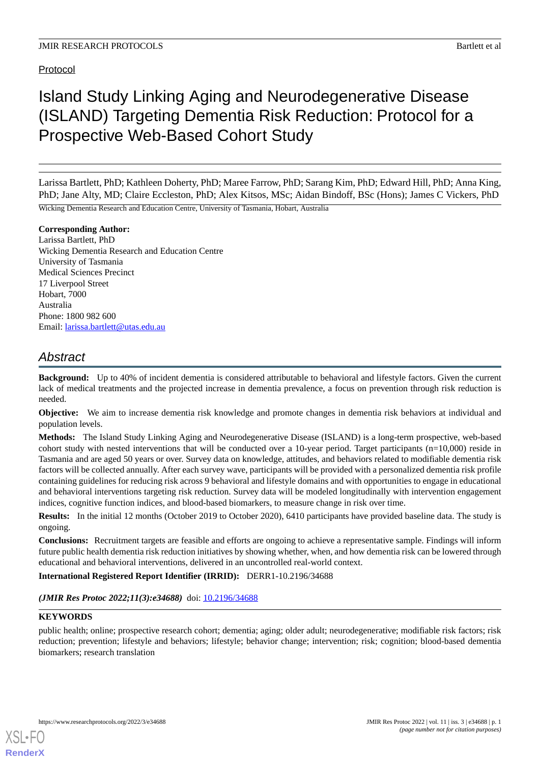### Protocol

# Island Study Linking Aging and Neurodegenerative Disease (ISLAND) Targeting Dementia Risk Reduction: Protocol for a Prospective Web-Based Cohort Study

Larissa Bartlett, PhD; Kathleen Doherty, PhD; Maree Farrow, PhD; Sarang Kim, PhD; Edward Hill, PhD; Anna King, PhD; Jane Alty, MD; Claire Eccleston, PhD; Alex Kitsos, MSc; Aidan Bindoff, BSc (Hons); James C Vickers, PhD

Wicking Dementia Research and Education Centre, University of Tasmania, Hobart, Australia

#### **Corresponding Author:**

Larissa Bartlett, PhD Wicking Dementia Research and Education Centre University of Tasmania Medical Sciences Precinct 17 Liverpool Street Hobart, 7000 Australia Phone: 1800 982 600 Email: [larissa.bartlett@utas.edu.au](mailto:larissa.bartlett@utas.edu.au)

# *Abstract*

**Background:** Up to 40% of incident dementia is considered attributable to behavioral and lifestyle factors. Given the current lack of medical treatments and the projected increase in dementia prevalence, a focus on prevention through risk reduction is needed.

**Objective:** We aim to increase dementia risk knowledge and promote changes in dementia risk behaviors at individual and population levels.

**Methods:** The Island Study Linking Aging and Neurodegenerative Disease (ISLAND) is a long-term prospective, web-based cohort study with nested interventions that will be conducted over a 10-year period. Target participants  $(n=10,000)$  reside in Tasmania and are aged 50 years or over. Survey data on knowledge, attitudes, and behaviors related to modifiable dementia risk factors will be collected annually. After each survey wave, participants will be provided with a personalized dementia risk profile containing guidelines for reducing risk across 9 behavioral and lifestyle domains and with opportunities to engage in educational and behavioral interventions targeting risk reduction. Survey data will be modeled longitudinally with intervention engagement indices, cognitive function indices, and blood-based biomarkers, to measure change in risk over time.

**Results:** In the initial 12 months (October 2019 to October 2020), 6410 participants have provided baseline data. The study is ongoing.

**Conclusions:** Recruitment targets are feasible and efforts are ongoing to achieve a representative sample. Findings will inform future public health dementia risk reduction initiatives by showing whether, when, and how dementia risk can be lowered through educational and behavioral interventions, delivered in an uncontrolled real-world context.

**International Registered Report Identifier (IRRID):** DERR1-10.2196/34688

*(JMIR Res Protoc 2022;11(3):e34688)* doi: [10.2196/34688](http://dx.doi.org/10.2196/34688)

#### **KEYWORDS**

[XSL](http://www.w3.org/Style/XSL)•FO **[RenderX](http://www.renderx.com/)**

public health; online; prospective research cohort; dementia; aging; older adult; neurodegenerative; modifiable risk factors; risk reduction; prevention; lifestyle and behaviors; lifestyle; behavior change; intervention; risk; cognition; blood-based dementia biomarkers; research translation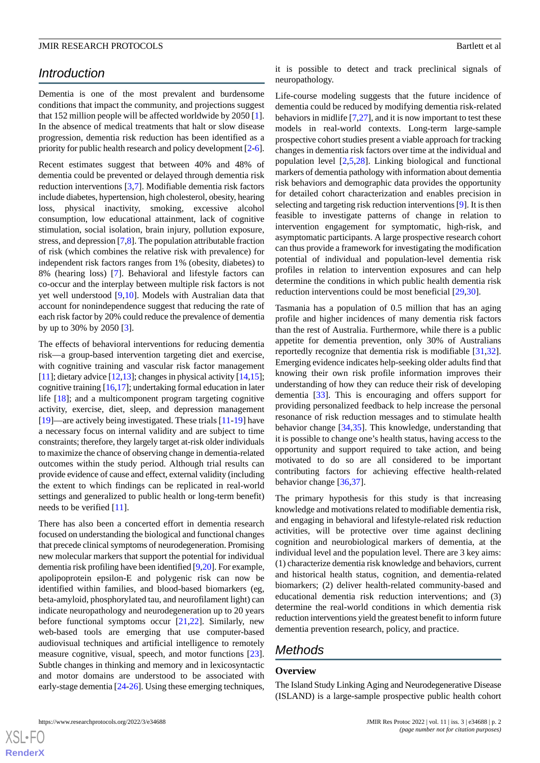# *Introduction*

Dementia is one of the most prevalent and burdensome conditions that impact the community, and projections suggest that 152 million people will be affected worldwide by 2050 [[1\]](#page-10-0). In the absence of medical treatments that halt or slow disease progression, dementia risk reduction has been identified as a priority for public health research and policy development [[2-](#page-10-1)[6\]](#page-10-2).

Recent estimates suggest that between 40% and 48% of dementia could be prevented or delayed through dementia risk reduction interventions [[3,](#page-10-3)[7](#page-10-4)]. Modifiable dementia risk factors include diabetes, hypertension, high cholesterol, obesity, hearing loss, physical inactivity, smoking, excessive alcohol consumption, low educational attainment, lack of cognitive stimulation, social isolation, brain injury, pollution exposure, stress, and depression [[7,](#page-10-4)[8\]](#page-10-5). The population attributable fraction of risk (which combines the relative risk with prevalence) for independent risk factors ranges from 1% (obesity, diabetes) to 8% (hearing loss) [[7\]](#page-10-4). Behavioral and lifestyle factors can co-occur and the interplay between multiple risk factors is not yet well understood [\[9](#page-10-6),[10\]](#page-10-7). Models with Australian data that account for nonindependence suggest that reducing the rate of each risk factor by 20% could reduce the prevalence of dementia by up to 30% by 2050 [[3\]](#page-10-3).

The effects of behavioral interventions for reducing dementia risk—a group-based intervention targeting diet and exercise, with cognitive training and vascular risk factor management [[11\]](#page-10-8); dietary advice  $[12,13]$  $[12,13]$  $[12,13]$ ; changes in physical activity  $[14,15]$  $[14,15]$  $[14,15]$ ; cognitive training [[16,](#page-10-13)[17\]](#page-10-14); undertaking formal education in later life [[18\]](#page-10-15); and a multicomponent program targeting cognitive activity, exercise, diet, sleep, and depression management [[19\]](#page-10-16)—are actively being investigated. These trials [\[11](#page-10-8)-[19\]](#page-10-16) have a necessary focus on internal validity and are subject to time constraints; therefore, they largely target at-risk older individuals to maximize the chance of observing change in dementia-related outcomes within the study period. Although trial results can provide evidence of cause and effect, external validity (including the extent to which findings can be replicated in real-world settings and generalized to public health or long-term benefit) needs to be verified [[11\]](#page-10-8).

There has also been a concerted effort in dementia research focused on understanding the biological and functional changes that precede clinical symptoms of neurodegeneration. Promising new molecular markers that support the potential for individual dementia risk profiling have been identified [\[9](#page-10-6)[,20](#page-10-17)]. For example, apolipoprotein epsilon-E and polygenic risk can now be identified within families, and blood-based biomarkers (eg, beta-amyloid, phosphorylated tau, and neurofilament light) can indicate neuropathology and neurodegeneration up to 20 years before functional symptoms occur  $[21,22]$  $[21,22]$  $[21,22]$ . Similarly, new web-based tools are emerging that use computer-based audiovisual techniques and artificial intelligence to remotely measure cognitive, visual, speech, and motor functions [[23\]](#page-11-0). Subtle changes in thinking and memory and in lexicosyntactic and motor domains are understood to be associated with early-stage dementia [\[24](#page-11-1)[-26](#page-11-2)]. Using these emerging techniques,

it is possible to detect and track preclinical signals of neuropathology.

Life-course modeling suggests that the future incidence of dementia could be reduced by modifying dementia risk-related behaviors in midlife  $[7,27]$  $[7,27]$  $[7,27]$ , and it is now important to test these models in real-world contexts. Long-term large-sample prospective cohort studies present a viable approach for tracking changes in dementia risk factors over time at the individual and population level [[2,](#page-10-1)[5](#page-10-20),[28\]](#page-11-4). Linking biological and functional markers of dementia pathology with information about dementia risk behaviors and demographic data provides the opportunity for detailed cohort characterization and enables precision in selecting and targeting risk reduction interventions [\[9\]](#page-10-6). It is then feasible to investigate patterns of change in relation to intervention engagement for symptomatic, high-risk, and asymptomatic participants. A large prospective research cohort can thus provide a framework for investigating the modification potential of individual and population-level dementia risk profiles in relation to intervention exposures and can help determine the conditions in which public health dementia risk reduction interventions could be most beneficial [\[29](#page-11-5),[30\]](#page-11-6).

Tasmania has a population of 0.5 million that has an aging profile and higher incidences of many dementia risk factors than the rest of Australia. Furthermore, while there is a public appetite for dementia prevention, only 30% of Australians reportedly recognize that dementia risk is modifiable [\[31](#page-11-7),[32\]](#page-11-8). Emerging evidence indicates help-seeking older adults find that knowing their own risk profile information improves their understanding of how they can reduce their risk of developing dementia [[33\]](#page-11-9). This is encouraging and offers support for providing personalized feedback to help increase the personal resonance of risk reduction messages and to stimulate health behavior change [\[34](#page-11-10),[35\]](#page-11-11). This knowledge, understanding that it is possible to change one's health status, having access to the opportunity and support required to take action, and being motivated to do so are all considered to be important contributing factors for achieving effective health-related behavior change [\[36](#page-11-12),[37\]](#page-11-13).

The primary hypothesis for this study is that increasing knowledge and motivations related to modifiable dementia risk, and engaging in behavioral and lifestyle-related risk reduction activities, will be protective over time against declining cognition and neurobiological markers of dementia, at the individual level and the population level. There are 3 key aims: (1) characterize dementia risk knowledge and behaviors, current and historical health status, cognition, and dementia-related biomarkers; (2) deliver health-related community-based and educational dementia risk reduction interventions; and (3) determine the real-world conditions in which dementia risk reduction interventions yield the greatest benefit to inform future dementia prevention research, policy, and practice.

# *Methods*

#### **Overview**

The Island Study Linking Aging and Neurodegenerative Disease (ISLAND) is a large-sample prospective public health cohort

 $XS$  $\cdot$ FC **[RenderX](http://www.renderx.com/)**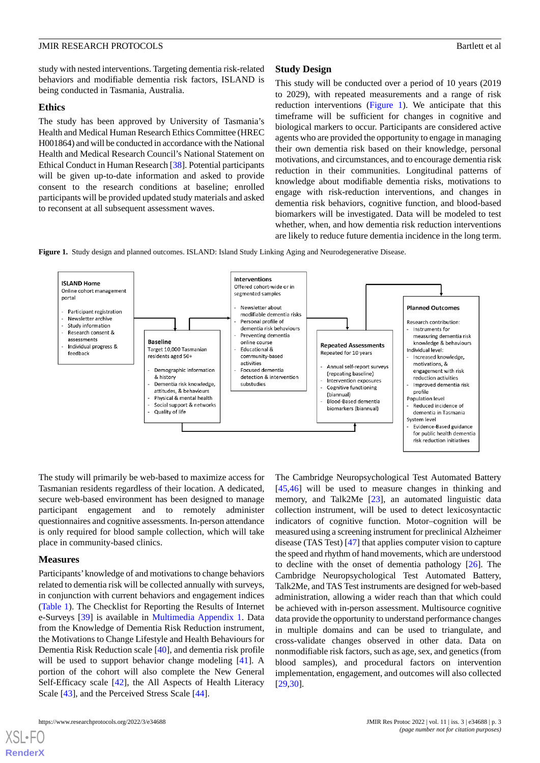study with nested interventions. Targeting dementia risk-related behaviors and modifiable dementia risk factors, ISLAND is being conducted in Tasmania, Australia.

#### **Ethics**

The study has been approved by University of Tasmania's Health and Medical Human Research Ethics Committee (HREC H001864) and will be conducted in accordance with the National Health and Medical Research Council's National Statement on Ethical Conduct in Human Research [[38](#page-11-14)]. Potential participants will be given up-to-date information and asked to provide consent to the research conditions at baseline; enrolled participants will be provided updated study materials and asked to reconsent at all subsequent assessment waves.

#### **Study Design**

This study will be conducted over a period of 10 years (2019 to 2029), with repeated measurements and a range of risk reduction interventions ([Figure 1](#page-2-0)). We anticipate that this timeframe will be sufficient for changes in cognitive and biological markers to occur. Participants are considered active agents who are provided the opportunity to engage in managing their own dementia risk based on their knowledge, personal motivations, and circumstances, and to encourage dementia risk reduction in their communities. Longitudinal patterns of knowledge about modifiable dementia risks, motivations to engage with risk-reduction interventions, and changes in dementia risk behaviors, cognitive function, and blood-based biomarkers will be investigated. Data will be modeled to test whether, when, and how dementia risk reduction interventions are likely to reduce future dementia incidence in the long term.

<span id="page-2-0"></span>**Figure 1.** Study design and planned outcomes. ISLAND: Island Study Linking Aging and Neurodegenerative Disease.



The study will primarily be web-based to maximize access for Tasmanian residents regardless of their location. A dedicated, secure web-based environment has been designed to manage participant engagement and to remotely administer questionnaires and cognitive assessments. In-person attendance is only required for blood sample collection, which will take place in community-based clinics.

#### **Measures**

[XSL](http://www.w3.org/Style/XSL)•FO **[RenderX](http://www.renderx.com/)**

Participants'knowledge of and motivations to change behaviors related to dementia risk will be collected annually with surveys, in conjunction with current behaviors and engagement indices ([Table 1\)](#page-3-0). The Checklist for Reporting the Results of Internet e-Surveys [\[39](#page-11-15)] is available in [Multimedia Appendix 1](#page-9-0). Data from the Knowledge of Dementia Risk Reduction instrument, the Motivations to Change Lifestyle and Health Behaviours for Dementia Risk Reduction scale [[40\]](#page-11-16), and dementia risk profile will be used to support behavior change modeling [\[41](#page-11-17)]. A portion of the cohort will also complete the New General Self-Efficacy scale [[42\]](#page-11-18), the All Aspects of Health Literacy Scale [\[43](#page-11-19)], and the Perceived Stress Scale [\[44](#page-11-20)].

The Cambridge Neuropsychological Test Automated Battery [[45,](#page-11-21)[46\]](#page-11-22) will be used to measure changes in thinking and memory, and Talk2Me [\[23](#page-11-0)], an automated linguistic data collection instrument, will be used to detect lexicosyntactic indicators of cognitive function. Motor–cognition will be measured using a screening instrument for preclinical Alzheimer disease (TAS Test) [[47\]](#page-12-0) that applies computer vision to capture the speed and rhythm of hand movements, which are understood to decline with the onset of dementia pathology [[26\]](#page-11-2). The Cambridge Neuropsychological Test Automated Battery, Talk2Me, and TAS Test instruments are designed for web-based administration, allowing a wider reach than that which could be achieved with in-person assessment. Multisource cognitive data provide the opportunity to understand performance changes in multiple domains and can be used to triangulate, and cross-validate changes observed in other data. Data on nonmodifiable risk factors, such as age, sex, and genetics (from blood samples), and procedural factors on intervention implementation, engagement, and outcomes will also collected [[29,](#page-11-5)[30\]](#page-11-6).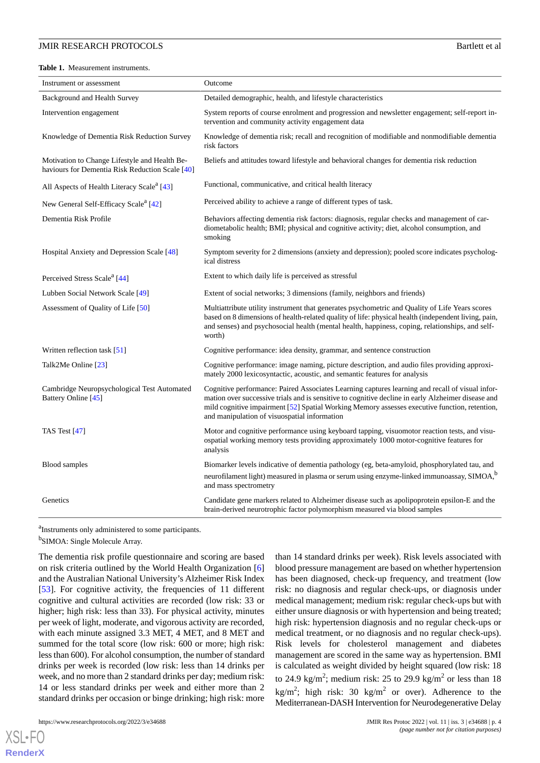<span id="page-3-0"></span>**Table 1.** Measurement instruments.

| Instrument or assessment                                                                         | Outcome                                                                                                                                                                                                                                                                                                                                                |  |
|--------------------------------------------------------------------------------------------------|--------------------------------------------------------------------------------------------------------------------------------------------------------------------------------------------------------------------------------------------------------------------------------------------------------------------------------------------------------|--|
| Background and Health Survey                                                                     | Detailed demographic, health, and lifestyle characteristics                                                                                                                                                                                                                                                                                            |  |
| Intervention engagement                                                                          | System reports of course enrolment and progression and newsletter engagement; self-report in-<br>tervention and community activity engagement data                                                                                                                                                                                                     |  |
| Knowledge of Dementia Risk Reduction Survey                                                      | Knowledge of dementia risk; recall and recognition of modifiable and nonmodifiable dementia<br>risk factors                                                                                                                                                                                                                                            |  |
| Motivation to Change Lifestyle and Health Be-<br>haviours for Dementia Risk Reduction Scale [40] | Beliefs and attitudes toward lifestyle and behavioral changes for dementia risk reduction                                                                                                                                                                                                                                                              |  |
| All Aspects of Health Literacy Scale <sup>a</sup> [43]                                           | Functional, communicative, and critical health literacy                                                                                                                                                                                                                                                                                                |  |
| New General Self-Efficacy Scale <sup>a</sup> [42]                                                | Perceived ability to achieve a range of different types of task.                                                                                                                                                                                                                                                                                       |  |
| Dementia Risk Profile                                                                            | Behaviors affecting dementia risk factors: diagnosis, regular checks and management of car-<br>diometabolic health; BMI; physical and cognitive activity; diet, alcohol consumption, and<br>smoking                                                                                                                                                    |  |
| Hospital Anxiety and Depression Scale [48]                                                       | Symptom severity for 2 dimensions (anxiety and depression); pooled score indicates psycholog-<br>ical distress                                                                                                                                                                                                                                         |  |
| Perceived Stress Scale <sup>a</sup> [44]                                                         | Extent to which daily life is perceived as stressful                                                                                                                                                                                                                                                                                                   |  |
| Lubben Social Network Scale [49]                                                                 | Extent of social networks; 3 dimensions (family, neighbors and friends)                                                                                                                                                                                                                                                                                |  |
| Assessment of Quality of Life [50]                                                               | Multiattribute utility instrument that generates psychometric and Quality of Life Years scores<br>based on 8 dimensions of health-related quality of life: physical health (independent living, pain,<br>and senses) and psychosocial health (mental health, happiness, coping, relationships, and self-<br>worth)                                     |  |
| Written reflection task $[51]$                                                                   | Cognitive performance: idea density, grammar, and sentence construction                                                                                                                                                                                                                                                                                |  |
| Talk2Me Online [23]                                                                              | Cognitive performance: image naming, picture description, and audio files providing approxi-<br>mately 2000 lexicosyntactic, acoustic, and semantic features for analysis                                                                                                                                                                              |  |
| Cambridge Neuropsychological Test Automated<br>Battery Online [45]                               | Cognitive performance: Paired Associates Learning captures learning and recall of visual infor-<br>mation over successive trials and is sensitive to cognitive decline in early Alzheimer disease and<br>mild cognitive impairment [52] Spatial Working Memory assesses executive function, retention,<br>and manipulation of visuospatial information |  |
| TAS Test $[47]$                                                                                  | Motor and cognitive performance using keyboard tapping, visuomotor reaction tests, and visu-<br>ospatial working memory tests providing approximately 1000 motor-cognitive features for<br>analysis                                                                                                                                                    |  |
| <b>Blood</b> samples                                                                             | Biomarker levels indicative of dementia pathology (eg, beta-amyloid, phosphorylated tau, and<br>neurofilament light) measured in plasma or serum using enzyme-linked immunoassay, SIMOA, <sup>b</sup><br>and mass spectrometry                                                                                                                         |  |
| Genetics                                                                                         | Candidate gene markers related to Alzheimer disease such as apolipoprotein epsilon-E and the<br>brain-derived neurotrophic factor polymorphism measured via blood samples                                                                                                                                                                              |  |

<sup>a</sup>Instruments only administered to some participants.

<sup>b</sup>SIMOA: Single Molecule Array.

The dementia risk profile questionnaire and scoring are based on risk criteria outlined by the World Health Organization [\[6](#page-10-2)] and the Australian National University's Alzheimer Risk Index [[53\]](#page-12-6). For cognitive activity, the frequencies of 11 different cognitive and cultural activities are recorded (low risk: 33 or higher; high risk: less than 33). For physical activity, minutes per week of light, moderate, and vigorous activity are recorded, with each minute assigned 3.3 MET, 4 MET, and 8 MET and summed for the total score (low risk: 600 or more; high risk: less than 600). For alcohol consumption, the number of standard drinks per week is recorded (low risk: less than 14 drinks per week, and no more than 2 standard drinks per day; medium risk: 14 or less standard drinks per week and either more than 2 standard drinks per occasion or binge drinking; high risk: more

https://www.researchprotocols.org/2022/3/e34688 JMIR Res Protoc 2022 | vol. 11 | iss. 3 | e34688 | p. 4

[XSL](http://www.w3.org/Style/XSL)•FO **[RenderX](http://www.renderx.com/)**

than 14 standard drinks per week). Risk levels associated with blood pressure management are based on whether hypertension has been diagnosed, check-up frequency, and treatment (low risk: no diagnosis and regular check-ups, or diagnosis under medical management; medium risk: regular check-ups but with either unsure diagnosis or with hypertension and being treated; high risk: hypertension diagnosis and no regular check-ups or medical treatment, or no diagnosis and no regular check-ups). Risk levels for cholesterol management and diabetes management are scored in the same way as hypertension. BMI is calculated as weight divided by height squared (low risk: 18 to 24.9 kg/m<sup>2</sup>; medium risk: 25 to 29.9 kg/m<sup>2</sup> or less than 18 kg/m<sup>2</sup>; high risk: 30 kg/m<sup>2</sup> or over). Adherence to the Mediterranean-DASH Intervention for Neurodegenerative Delay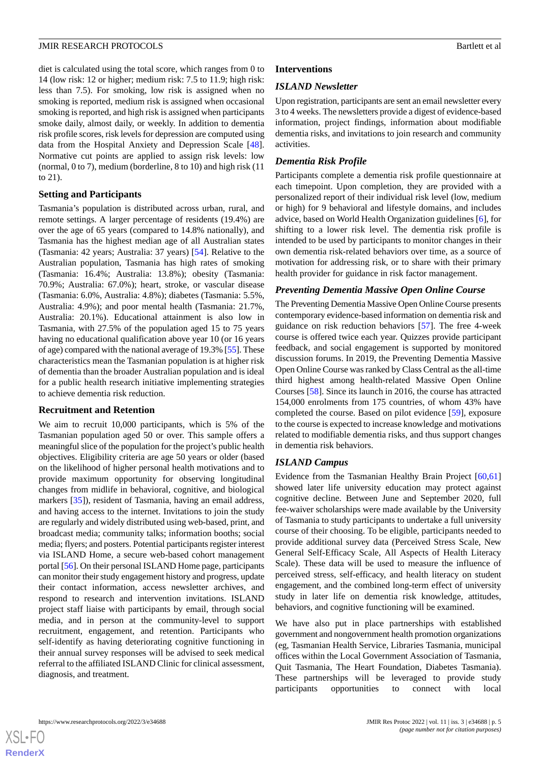diet is calculated using the total score, which ranges from 0 to 14 (low risk: 12 or higher; medium risk: 7.5 to 11.9; high risk: less than 7.5). For smoking, low risk is assigned when no smoking is reported, medium risk is assigned when occasional smoking is reported, and high risk is assigned when participants smoke daily, almost daily, or weekly. In addition to dementia risk profile scores, risk levels for depression are computed using data from the Hospital Anxiety and Depression Scale [[48\]](#page-12-1). Normative cut points are applied to assign risk levels: low (normal, 0 to 7), medium (borderline, 8 to 10) and high risk (11 to 21).

#### **Setting and Participants**

Tasmania's population is distributed across urban, rural, and remote settings. A larger percentage of residents (19.4%) are over the age of 65 years (compared to 14.8% nationally), and Tasmania has the highest median age of all Australian states (Tasmania: 42 years; Australia: 37 years) [\[54](#page-12-7)]. Relative to the Australian population, Tasmania has high rates of smoking (Tasmania: 16.4%; Australia: 13.8%); obesity (Tasmania: 70.9%; Australia: 67.0%); heart, stroke, or vascular disease (Tasmania: 6.0%, Australia: 4.8%); diabetes (Tasmania: 5.5%, Australia: 4.9%); and poor mental health (Tasmania: 21.7%, Australia: 20.1%). Educational attainment is also low in Tasmania, with 27.5% of the population aged 15 to 75 years having no educational qualification above year 10 (or 16 years of age) compared with the national average of 19.3% [[55\]](#page-12-8). These characteristics mean the Tasmanian population is at higher risk of dementia than the broader Australian population and is ideal for a public health research initiative implementing strategies to achieve dementia risk reduction.

#### **Recruitment and Retention**

We aim to recruit 10,000 participants, which is 5% of the Tasmanian population aged 50 or over. This sample offers a meaningful slice of the population for the project's public health objectives. Eligibility criteria are age 50 years or older (based on the likelihood of higher personal health motivations and to provide maximum opportunity for observing longitudinal changes from midlife in behavioral, cognitive, and biological markers [[35\]](#page-11-11)), resident of Tasmania, having an email address, and having access to the internet. Invitations to join the study are regularly and widely distributed using web-based, print, and broadcast media; community talks; information booths; social media; flyers; and posters. Potential participants register interest via ISLAND Home, a secure web-based cohort management portal [[56\]](#page-12-9). On their personal ISLAND Home page, participants can monitor their study engagement history and progress, update their contact information, access newsletter archives, and respond to research and intervention invitations. ISLAND project staff liaise with participants by email, through social media, and in person at the community-level to support recruitment, engagement, and retention. Participants who self-identify as having deteriorating cognitive functioning in their annual survey responses will be advised to seek medical referral to the affiliated ISLAND Clinic for clinical assessment, diagnosis, and treatment.

### **Interventions**

#### *ISLAND Newsletter*

Upon registration, participants are sent an email newsletter every 3 to 4 weeks. The newsletters provide a digest of evidence-based information, project findings, information about modifiable dementia risks, and invitations to join research and community activities.

#### *Dementia Risk Profile*

Participants complete a dementia risk profile questionnaire at each timepoint. Upon completion, they are provided with a personalized report of their individual risk level (low, medium or high) for 9 behavioral and lifestyle domains, and includes advice, based on World Health Organization guidelines [\[6](#page-10-2)], for shifting to a lower risk level. The dementia risk profile is intended to be used by participants to monitor changes in their own dementia risk-related behaviors over time, as a source of motivation for addressing risk, or to share with their primary health provider for guidance in risk factor management.

#### *Preventing Dementia Massive Open Online Course*

The Preventing Dementia Massive Open Online Course presents contemporary evidence-based information on dementia risk and guidance on risk reduction behaviors [\[57](#page-12-10)]. The free 4-week course is offered twice each year. Quizzes provide participant feedback, and social engagement is supported by monitored discussion forums. In 2019, the Preventing Dementia Massive Open Online Course was ranked by Class Central as the all-time third highest among health-related Massive Open Online Courses [[58\]](#page-12-11). Since its launch in 2016, the course has attracted 154,000 enrolments from 175 countries, of whom 43% have completed the course. Based on pilot evidence [\[59](#page-12-12)], exposure to the course is expected to increase knowledge and motivations related to modifiable dementia risks, and thus support changes in dementia risk behaviors.

#### *ISLAND Campus*

Evidence from the Tasmanian Healthy Brain Project [[60](#page-12-13)[,61](#page-12-14)] showed later life university education may protect against cognitive decline. Between June and September 2020, full fee-waiver scholarships were made available by the University of Tasmania to study participants to undertake a full university course of their choosing. To be eligible, participants needed to provide additional survey data (Perceived Stress Scale, New General Self-Efficacy Scale, All Aspects of Health Literacy Scale). These data will be used to measure the influence of perceived stress, self-efficacy, and health literacy on student engagement, and the combined long-term effect of university study in later life on dementia risk knowledge, attitudes, behaviors, and cognitive functioning will be examined.

We have also put in place partnerships with established government and nongovernment health promotion organizations (eg, Tasmanian Health Service, Libraries Tasmania, municipal offices within the Local Government Association of Tasmania, Quit Tasmania, The Heart Foundation, Diabetes Tasmania). These partnerships will be leveraged to provide study participants opportunities to connect with local

 $XS$ -FO **[RenderX](http://www.renderx.com/)**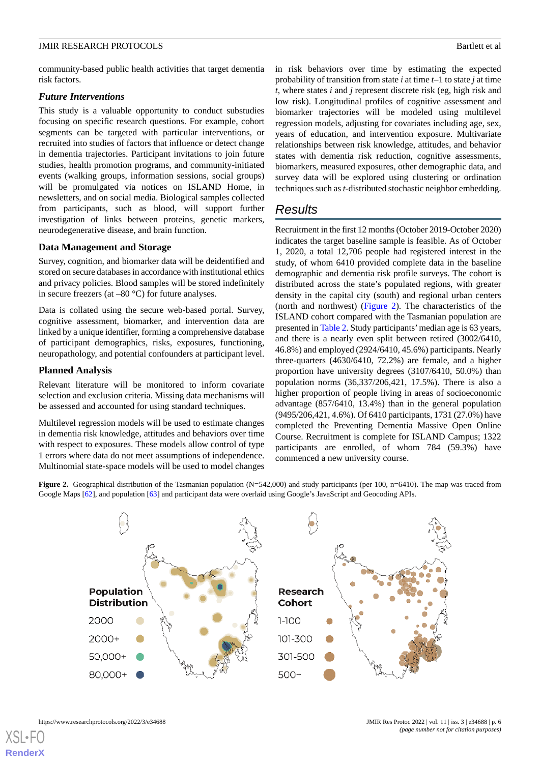community-based public health activities that target dementia risk factors.

#### *Future Interventions*

This study is a valuable opportunity to conduct substudies focusing on specific research questions. For example, cohort segments can be targeted with particular interventions, or recruited into studies of factors that influence or detect change in dementia trajectories. Participant invitations to join future studies, health promotion programs, and community-initiated events (walking groups, information sessions, social groups) will be promulgated via notices on ISLAND Home, in newsletters, and on social media. Biological samples collected from participants, such as blood, will support further investigation of links between proteins, genetic markers, neurodegenerative disease, and brain function.

#### **Data Management and Storage**

Survey, cognition, and biomarker data will be deidentified and stored on secure databases in accordance with institutional ethics and privacy policies. Blood samples will be stored indefinitely in secure freezers (at  $-80$  °C) for future analyses.

Data is collated using the secure web-based portal. Survey, cognitive assessment, biomarker, and intervention data are linked by a unique identifier, forming a comprehensive database of participant demographics, risks, exposures, functioning, neuropathology, and potential confounders at participant level.

#### **Planned Analysis**

Relevant literature will be monitored to inform covariate selection and exclusion criteria. Missing data mechanisms will be assessed and accounted for using standard techniques.

<span id="page-5-0"></span>Multilevel regression models will be used to estimate changes in dementia risk knowledge, attitudes and behaviors over time with respect to exposures. These models allow control of type 1 errors where data do not meet assumptions of independence. Multinomial state-space models will be used to model changes

in risk behaviors over time by estimating the expected probability of transition from state *i* at time *t–*1 to state *j* at time *t*, where states *i* and *j* represent discrete risk (eg, high risk and low risk). Longitudinal profiles of cognitive assessment and biomarker trajectories will be modeled using multilevel regression models, adjusting for covariates including age, sex, years of education, and intervention exposure. Multivariate relationships between risk knowledge, attitudes, and behavior states with dementia risk reduction, cognitive assessments, biomarkers, measured exposures, other demographic data, and survey data will be explored using clustering or ordination techniques such as *t*-distributed stochastic neighbor embedding.

# *Results*

Recruitment in the first 12 months (October 2019-October 2020) indicates the target baseline sample is feasible. As of October 1, 2020, a total 12,706 people had registered interest in the study, of whom 6410 provided complete data in the baseline demographic and dementia risk profile surveys. The cohort is distributed across the state's populated regions, with greater density in the capital city (south) and regional urban centers (north and northwest) [\(Figure 2\)](#page-5-0). The characteristics of the ISLAND cohort compared with the Tasmanian population are presented in [Table 2.](#page-6-0) Study participants'median age is 63 years, and there is a nearly even split between retired (3002/6410, 46.8%) and employed (2924/6410, 45.6%) participants. Nearly three-quarters (4630/6410, 72.2%) are female, and a higher proportion have university degrees (3107/6410, 50.0%) than population norms (36,337/206,421, 17.5%). There is also a higher proportion of people living in areas of socioeconomic advantage (857/6410, 13.4%) than in the general population (9495/206,421, 4.6%). Of 6410 participants, 1731 (27.0%) have completed the Preventing Dementia Massive Open Online Course. Recruitment is complete for ISLAND Campus; 1322 participants are enrolled, of whom 784 (59.3%) have commenced a new university course.

**Figure 2.** Geographical distribution of the Tasmanian population (N=542,000) and study participants (per 100, n=6410). The map was traced from Google Maps [[62](#page-12-15)], and population [[63](#page-12-16)] and participant data were overlaid using Google's JavaScript and Geocoding APIs.

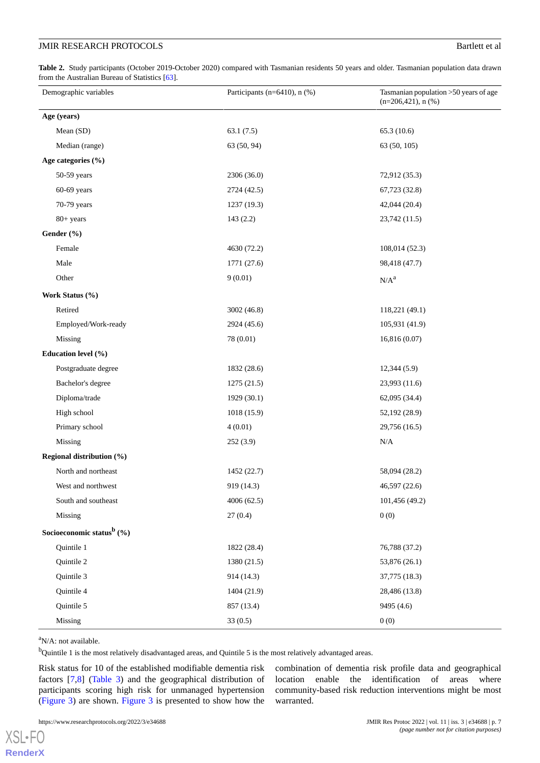<span id="page-6-0"></span>**Table 2.** Study participants (October 2019-October 2020) compared with Tasmanian residents 50 years and older. Tasmanian population data drawn from the Australian Bureau of Statistics [[63](#page-12-16)].

| Demographic variables                  | Participants (n=6410), n (%) | Tasmanian population >50 years of age<br>$(n=206,421)$ , n $(\%)$ |
|----------------------------------------|------------------------------|-------------------------------------------------------------------|
| Age (years)                            |                              |                                                                   |
| Mean (SD)                              | 63.1(7.5)                    | 65.3 (10.6)                                                       |
| Median (range)                         | 63 (50, 94)                  | 63 (50, 105)                                                      |
| Age categories (%)                     |                              |                                                                   |
| $50-59$ years                          | 2306 (36.0)                  | 72,912 (35.3)                                                     |
| $60-69$ years                          | 2724 (42.5)                  | 67,723 (32.8)                                                     |
| 70-79 years                            | 1237 (19.3)                  | 42,044 (20.4)                                                     |
| 80+ years                              | 143(2.2)                     | 23,742 (11.5)                                                     |
| Gender (%)                             |                              |                                                                   |
| Female                                 | 4630 (72.2)                  | 108,014 (52.3)                                                    |
| Male                                   | 1771 (27.6)                  | 98,418 (47.7)                                                     |
| Other                                  | 9(0.01)                      | N/A <sup>a</sup>                                                  |
| Work Status (%)                        |                              |                                                                   |
| Retired                                | 3002 (46.8)                  | 118,221 (49.1)                                                    |
| Employed/Work-ready                    | 2924 (45.6)                  | 105,931 (41.9)                                                    |
| Missing                                | 78 (0.01)                    | 16,816 (0.07)                                                     |
| Education level (%)                    |                              |                                                                   |
| Postgraduate degree                    | 1832 (28.6)                  | 12,344(5.9)                                                       |
| Bachelor's degree                      | 1275(21.5)                   | 23,993 (11.6)                                                     |
| Diploma/trade                          | 1929 (30.1)                  | 62,095 (34.4)                                                     |
| High school                            | 1018 (15.9)                  | 52,192 (28.9)                                                     |
| Primary school                         | 4(0.01)                      | 29,756 (16.5)                                                     |
| Missing                                | 252(3.9)                     | N/A                                                               |
| Regional distribution (%)              |                              |                                                                   |
| North and northeast                    | 1452 (22.7)                  | 58,094 (28.2)                                                     |
| West and northwest                     | 919 (14.3)                   | 46,597 (22.6)                                                     |
| South and southeast                    | 4006(62.5)                   | 101,456 (49.2)                                                    |
| Missing                                | 27(0.4)                      | 0(0)                                                              |
| Socioeconomic status <sup>b</sup> $(%$ |                              |                                                                   |
| Quintile 1                             | 1822 (28.4)                  | 76,788 (37.2)                                                     |
| Quintile 2                             | 1380 (21.5)                  | 53,876 (26.1)                                                     |
| Quintile 3                             | 914 (14.3)                   | 37,775 (18.3)                                                     |
| Quintile 4                             | 1404 (21.9)                  | 28,486 (13.8)                                                     |
| Quintile 5                             | 857 (13.4)                   | 9495 (4.6)                                                        |
| Missing                                | 33(0.5)                      | 0(0)                                                              |

 ${}^{a}$ N/A: not available.

[XSL](http://www.w3.org/Style/XSL)•FO **[RenderX](http://www.renderx.com/)**

<sup>b</sup>Quintile 1 is the most relatively disadvantaged areas, and Quintile 5 is the most relatively advantaged areas.

Risk status for 10 of the established modifiable dementia risk factors [[7](#page-10-4)[,8](#page-10-5)] [\(Table 3\)](#page-7-0) and the geographical distribution of participants scoring high risk for unmanaged hypertension ([Figure 3](#page-8-0)) are shown. [Figure 3](#page-8-0) is presented to show how the

combination of dementia risk profile data and geographical location enable the identification of areas where community-based risk reduction interventions might be most warranted.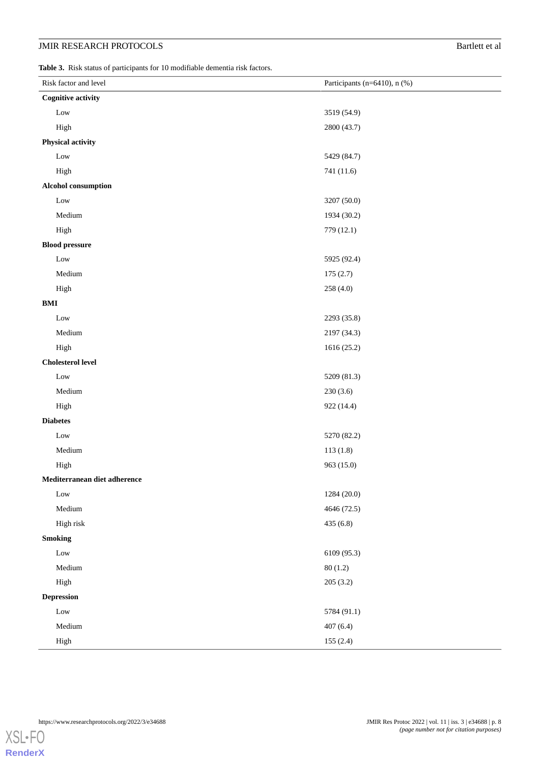<span id="page-7-0"></span>**Table 3.** Risk status of participants for 10 modifiable dementia risk factors.

| Risk factor and level        | Participants (n=6410), n (%) |  |
|------------------------------|------------------------------|--|
| <b>Cognitive activity</b>    |                              |  |
| Low                          | 3519 (54.9)                  |  |
| High                         | 2800 (43.7)                  |  |
| <b>Physical activity</b>     |                              |  |
| Low                          | 5429 (84.7)                  |  |
| High                         | 741 (11.6)                   |  |
| <b>Alcohol consumption</b>   |                              |  |
| Low                          | 3207 (50.0)                  |  |
| Medium                       | 1934 (30.2)                  |  |
| High                         | 779 (12.1)                   |  |
| <b>Blood pressure</b>        |                              |  |
| $_{\text{Low}}$              | 5925 (92.4)                  |  |
| Medium                       | 175(2.7)                     |  |
| High                         | 258 (4.0)                    |  |
| $\mathbf{BMI}$               |                              |  |
| Low                          | 2293 (35.8)                  |  |
| Medium                       | 2197 (34.3)                  |  |
| High                         | 1616 (25.2)                  |  |
| <b>Cholesterol level</b>     |                              |  |
| Low                          | 5209 (81.3)                  |  |
| Medium                       | 230(3.6)                     |  |
| High                         | 922 (14.4)                   |  |
| <b>Diabetes</b>              |                              |  |
| Low                          | 5270 (82.2)                  |  |
| Medium                       | 113(1.8)                     |  |
| High                         | 963 (15.0)                   |  |
| Mediterranean diet adherence |                              |  |
| $_{\rm Low}$                 | 1284 (20.0)                  |  |
| Medium                       | 4646 (72.5)                  |  |
| High risk                    | 435 (6.8)                    |  |
| <b>Smoking</b>               |                              |  |
| $_{\rm Low}$                 | 6109 (95.3)                  |  |
| Medium                       | 80(1.2)                      |  |
| High                         | 205(3.2)                     |  |
| <b>Depression</b>            |                              |  |
| $_{\rm Low}$                 | 5784 (91.1)                  |  |
| Medium                       | 407(6.4)                     |  |
| High                         | 155(2.4)                     |  |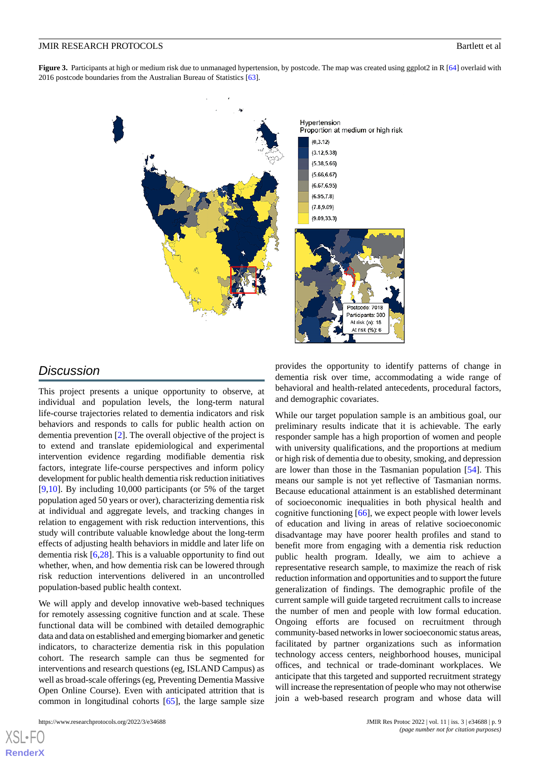<span id="page-8-0"></span>**Figure 3.** Participants at high or medium risk due to unmanaged hypertension, by postcode. The map was created using ggplot2 in R [[64\]](#page-12-17) overlaid with 2016 postcode boundaries from the Australian Bureau of Statistics [[63](#page-12-16)].



# *Discussion*

This project presents a unique opportunity to observe, at individual and population levels, the long-term natural life-course trajectories related to dementia indicators and risk behaviors and responds to calls for public health action on dementia prevention [[2\]](#page-10-1). The overall objective of the project is to extend and translate epidemiological and experimental intervention evidence regarding modifiable dementia risk factors, integrate life-course perspectives and inform policy development for public health dementia risk reduction initiatives [[9](#page-10-6)[,10](#page-10-7)]. By including 10,000 participants (or 5% of the target population aged 50 years or over), characterizing dementia risk at individual and aggregate levels, and tracking changes in relation to engagement with risk reduction interventions, this study will contribute valuable knowledge about the long-term effects of adjusting health behaviors in middle and later life on dementia risk [\[6,](#page-10-2)[28](#page-11-4)]. This is a valuable opportunity to find out whether, when, and how dementia risk can be lowered through risk reduction interventions delivered in an uncontrolled population-based public health context.

We will apply and develop innovative web-based techniques for remotely assessing cognitive function and at scale. These functional data will be combined with detailed demographic data and data on established and emerging biomarker and genetic indicators, to characterize dementia risk in this population cohort. The research sample can thus be segmented for interventions and research questions (eg, ISLAND Campus) as well as broad-scale offerings (eg, Preventing Dementia Massive Open Online Course). Even with anticipated attrition that is common in longitudinal cohorts [\[65](#page-12-18)], the large sample size

[XSL](http://www.w3.org/Style/XSL)•FO **[RenderX](http://www.renderx.com/)**

provides the opportunity to identify patterns of change in dementia risk over time, accommodating a wide range of behavioral and health-related antecedents, procedural factors, and demographic covariates.

While our target population sample is an ambitious goal, our preliminary results indicate that it is achievable. The early responder sample has a high proportion of women and people with university qualifications, and the proportions at medium or high risk of dementia due to obesity, smoking, and depression are lower than those in the Tasmanian population [\[54](#page-12-7)]. This means our sample is not yet reflective of Tasmanian norms. Because educational attainment is an established determinant of socioeconomic inequalities in both physical health and cognitive functioning [[66\]](#page-12-19), we expect people with lower levels of education and living in areas of relative socioeconomic disadvantage may have poorer health profiles and stand to benefit more from engaging with a dementia risk reduction public health program. Ideally, we aim to achieve a representative research sample, to maximize the reach of risk reduction information and opportunities and to support the future generalization of findings. The demographic profile of the current sample will guide targeted recruitment calls to increase the number of men and people with low formal education. Ongoing efforts are focused on recruitment through community-based networks in lower socioeconomic status areas, facilitated by partner organizations such as information technology access centers, neighborhood houses, municipal offices, and technical or trade-dominant workplaces. We anticipate that this targeted and supported recruitment strategy will increase the representation of people who may not otherwise join a web-based research program and whose data will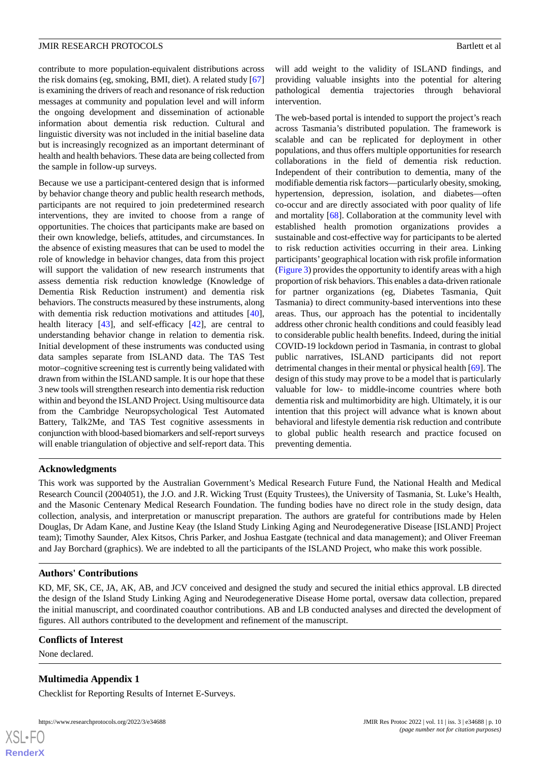contribute to more population-equivalent distributions across the risk domains (eg, smoking, BMI, diet). A related study [\[67](#page-12-20)] is examining the drivers of reach and resonance of risk reduction messages at community and population level and will inform the ongoing development and dissemination of actionable information about dementia risk reduction. Cultural and linguistic diversity was not included in the initial baseline data but is increasingly recognized as an important determinant of health and health behaviors. These data are being collected from the sample in follow-up surveys.

Because we use a participant-centered design that is informed by behavior change theory and public health research methods, participants are not required to join predetermined research interventions, they are invited to choose from a range of opportunities. The choices that participants make are based on their own knowledge, beliefs, attitudes, and circumstances. In the absence of existing measures that can be used to model the role of knowledge in behavior changes, data from this project will support the validation of new research instruments that assess dementia risk reduction knowledge (Knowledge of Dementia Risk Reduction instrument) and dementia risk behaviors. The constructs measured by these instruments, along with dementia risk reduction motivations and attitudes [[40\]](#page-11-16), health literacy [[43\]](#page-11-19), and self-efficacy [[42\]](#page-11-18), are central to understanding behavior change in relation to dementia risk. Initial development of these instruments was conducted using data samples separate from ISLAND data. The TAS Test motor–cognitive screening test is currently being validated with drawn from within the ISLAND sample. It is our hope that these 3 new tools will strengthen research into dementia risk reduction within and beyond the ISLAND Project. Using multisource data from the Cambridge Neuropsychological Test Automated Battery, Talk2Me, and TAS Test cognitive assessments in conjunction with blood-based biomarkers and self-report surveys will enable triangulation of objective and self-report data. This

will add weight to the validity of ISLAND findings, and providing valuable insights into the potential for altering pathological dementia trajectories through behavioral intervention.

The web-based portal is intended to support the project's reach across Tasmania's distributed population. The framework is scalable and can be replicated for deployment in other populations, and thus offers multiple opportunities for research collaborations in the field of dementia risk reduction. Independent of their contribution to dementia, many of the modifiable dementia risk factors—particularly obesity, smoking, hypertension, depression, isolation, and diabetes—often co-occur and are directly associated with poor quality of life and mortality [[68\]](#page-12-21). Collaboration at the community level with established health promotion organizations provides a sustainable and cost-effective way for participants to be alerted to risk reduction activities occurring in their area. Linking participants'geographical location with risk profile information ([Figure 3\)](#page-8-0) provides the opportunity to identify areas with a high proportion of risk behaviors. This enables a data-driven rationale for partner organizations (eg, Diabetes Tasmania, Quit Tasmania) to direct community-based interventions into these areas. Thus, our approach has the potential to incidentally address other chronic health conditions and could feasibly lead to considerable public health benefits. Indeed, during the initial COVID-19 lockdown period in Tasmania, in contrast to global public narratives, ISLAND participants did not report detrimental changes in their mental or physical health [[69\]](#page-12-22). The design of this study may prove to be a model that is particularly valuable for low- to middle-income countries where both dementia risk and multimorbidity are high. Ultimately, it is our intention that this project will advance what is known about behavioral and lifestyle dementia risk reduction and contribute to global public health research and practice focused on preventing dementia.

#### **Acknowledgments**

This work was supported by the Australian Government's Medical Research Future Fund, the National Health and Medical Research Council (2004051), the J.O. and J.R. Wicking Trust (Equity Trustees), the University of Tasmania, St. Luke's Health, and the Masonic Centenary Medical Research Foundation. The funding bodies have no direct role in the study design, data collection, analysis, and interpretation or manuscript preparation. The authors are grateful for contributions made by Helen Douglas, Dr Adam Kane, and Justine Keay (the Island Study Linking Aging and Neurodegenerative Disease [ISLAND] Project team); Timothy Saunder, Alex Kitsos, Chris Parker, and Joshua Eastgate (technical and data management); and Oliver Freeman and Jay Borchard (graphics). We are indebted to all the participants of the ISLAND Project, who make this work possible.

#### **Authors' Contributions**

<span id="page-9-0"></span>KD, MF, SK, CE, JA, AK, AB, and JCV conceived and designed the study and secured the initial ethics approval. LB directed the design of the Island Study Linking Aging and Neurodegenerative Disease Home portal, oversaw data collection, prepared the initial manuscript, and coordinated coauthor contributions. AB and LB conducted analyses and directed the development of figures. All authors contributed to the development and refinement of the manuscript.

#### **Conflicts of Interest**

None declared.

 $XS$  • FO **[RenderX](http://www.renderx.com/)**

#### **Multimedia Appendix 1**

Checklist for Reporting Results of Internet E-Surveys.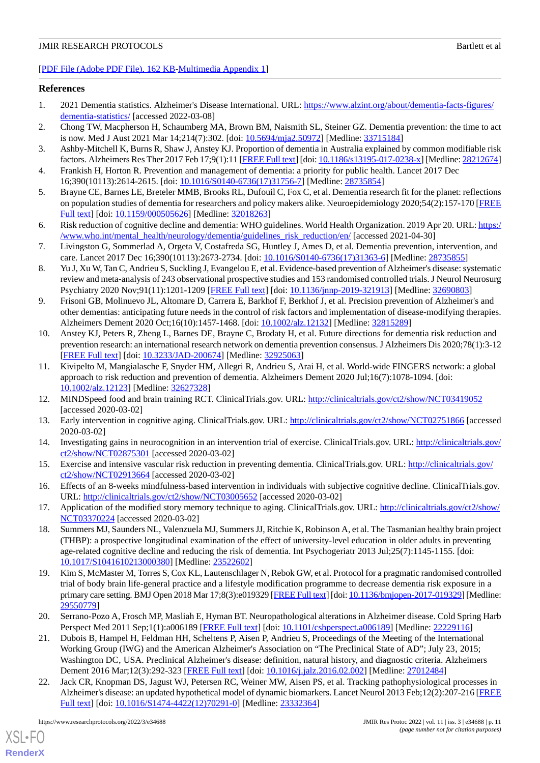[[PDF File \(Adobe PDF File\), 162 KB](https://jmir.org/api/download?alt_name=resprot_v11i2e34688_app1.pdf&filename=f3bc8d3b631da82eae1657c6e990dba1.pdf)-[Multimedia Appendix 1\]](https://jmir.org/api/download?alt_name=resprot_v11i2e34688_app1.pdf&filename=f3bc8d3b631da82eae1657c6e990dba1.pdf)

#### <span id="page-10-0"></span>**References**

- <span id="page-10-1"></span>1. 2021 Dementia statistics. Alzheimer's Disease International. URL: [https://www.alzint.org/about/dementia-facts-figures/](https://www.alzint.org/about/dementia-facts-figures/dementia-statistics/) [dementia-statistics/](https://www.alzint.org/about/dementia-facts-figures/dementia-statistics/) [accessed 2022-03-08]
- <span id="page-10-3"></span>2. Chong TW, Macpherson H, Schaumberg MA, Brown BM, Naismith SL, Steiner GZ. Dementia prevention: the time to act is now. Med J Aust 2021 Mar 14;214(7):302. [doi: [10.5694/mja2.50972\]](http://dx.doi.org/10.5694/mja2.50972) [Medline: [33715184](http://www.ncbi.nlm.nih.gov/entrez/query.fcgi?cmd=Retrieve&db=PubMed&list_uids=33715184&dopt=Abstract)]
- 3. Ashby-Mitchell K, Burns R, Shaw J, Anstey KJ. Proportion of dementia in Australia explained by common modifiable risk factors. Alzheimers Res Ther 2017 Feb 17;9(1):11 [\[FREE Full text\]](https://alzres.biomedcentral.com/articles/10.1186/s13195-017-0238-x) [doi: [10.1186/s13195-017-0238-x](http://dx.doi.org/10.1186/s13195-017-0238-x)] [Medline: [28212674\]](http://www.ncbi.nlm.nih.gov/entrez/query.fcgi?cmd=Retrieve&db=PubMed&list_uids=28212674&dopt=Abstract)
- <span id="page-10-20"></span>4. Frankish H, Horton R. Prevention and management of dementia: a priority for public health. Lancet 2017 Dec 16;390(10113):2614-2615. [doi: [10.1016/S0140-6736\(17\)31756-7\]](http://dx.doi.org/10.1016/S0140-6736(17)31756-7) [Medline: [28735854](http://www.ncbi.nlm.nih.gov/entrez/query.fcgi?cmd=Retrieve&db=PubMed&list_uids=28735854&dopt=Abstract)]
- <span id="page-10-2"></span>5. Brayne CE, Barnes LE, Breteler MMB, Brooks RL, Dufouil C, Fox C, et al. Dementia research fit for the planet: reflections on population studies of dementia for researchers and policy makers alike. Neuroepidemiology 2020;54(2):157-170 [\[FREE](https://www.karger.com?DOI=10.1159/000505626) [Full text\]](https://www.karger.com?DOI=10.1159/000505626) [doi: [10.1159/000505626\]](http://dx.doi.org/10.1159/000505626) [Medline: [32018263](http://www.ncbi.nlm.nih.gov/entrez/query.fcgi?cmd=Retrieve&db=PubMed&list_uids=32018263&dopt=Abstract)]
- <span id="page-10-4"></span>6. Risk reduction of cognitive decline and dementia: WHO guidelines. World Health Organization. 2019 Apr 20. URL: [https:/](https://www.who.int/mental_health/neurology/dementia/guidelines_risk_reduction/en/) [/www.who.int/mental\\_health/neurology/dementia/guidelines\\_risk\\_reduction/en/](https://www.who.int/mental_health/neurology/dementia/guidelines_risk_reduction/en/) [accessed 2021-04-30]
- <span id="page-10-5"></span>7. Livingston G, Sommerlad A, Orgeta V, Costafreda SG, Huntley J, Ames D, et al. Dementia prevention, intervention, and care. Lancet 2017 Dec 16;390(10113):2673-2734. [doi: [10.1016/S0140-6736\(17\)31363-6](http://dx.doi.org/10.1016/S0140-6736(17)31363-6)] [Medline: [28735855\]](http://www.ncbi.nlm.nih.gov/entrez/query.fcgi?cmd=Retrieve&db=PubMed&list_uids=28735855&dopt=Abstract)
- <span id="page-10-6"></span>8. Yu J, Xu W, Tan C, Andrieu S, Suckling J, Evangelou E, et al. Evidence-based prevention of Alzheimer's disease: systematic review and meta-analysis of 243 observational prospective studies and 153 randomised controlled trials. J Neurol Neurosurg Psychiatry 2020 Nov;91(11):1201-1209 [\[FREE Full text\]](http://jnnp.bmj.com/lookup/pmidlookup?view=long&pmid=32690803) [doi: [10.1136/jnnp-2019-321913\]](http://dx.doi.org/10.1136/jnnp-2019-321913) [Medline: [32690803](http://www.ncbi.nlm.nih.gov/entrez/query.fcgi?cmd=Retrieve&db=PubMed&list_uids=32690803&dopt=Abstract)]
- <span id="page-10-7"></span>9. Frisoni GB, Molinuevo JL, Altomare D, Carrera E, Barkhof F, Berkhof J, et al. Precision prevention of Alzheimer's and other dementias: anticipating future needs in the control of risk factors and implementation of disease-modifying therapies. Alzheimers Dement 2020 Oct;16(10):1457-1468. [doi: [10.1002/alz.12132\]](http://dx.doi.org/10.1002/alz.12132) [Medline: [32815289](http://www.ncbi.nlm.nih.gov/entrez/query.fcgi?cmd=Retrieve&db=PubMed&list_uids=32815289&dopt=Abstract)]
- <span id="page-10-8"></span>10. Anstey KJ, Peters R, Zheng L, Barnes DE, Brayne C, Brodaty H, et al. Future directions for dementia risk reduction and prevention research: an international research network on dementia prevention consensus. J Alzheimers Dis 2020;78(1):3-12 [[FREE Full text](http://europepmc.org/abstract/MED/32925063)] [doi: [10.3233/JAD-200674\]](http://dx.doi.org/10.3233/JAD-200674) [Medline: [32925063\]](http://www.ncbi.nlm.nih.gov/entrez/query.fcgi?cmd=Retrieve&db=PubMed&list_uids=32925063&dopt=Abstract)
- <span id="page-10-10"></span><span id="page-10-9"></span>11. Kivipelto M, Mangialasche F, Snyder HM, Allegri R, Andrieu S, Arai H, et al. World-wide FINGERS network: a global approach to risk reduction and prevention of dementia. Alzheimers Dement 2020 Jul;16(7):1078-1094. [doi: [10.1002/alz.12123\]](http://dx.doi.org/10.1002/alz.12123) [Medline: [32627328\]](http://www.ncbi.nlm.nih.gov/entrez/query.fcgi?cmd=Retrieve&db=PubMed&list_uids=32627328&dopt=Abstract)
- <span id="page-10-11"></span>12. MINDSpeed food and brain training RCT. ClinicalTrials.gov. URL: <http://clinicaltrials.gov/ct2/show/NCT03419052> [accessed 2020-03-02]
- <span id="page-10-12"></span>13. Early intervention in cognitive aging. ClinicalTrials.gov. URL: <http://clinicaltrials.gov/ct2/show/NCT02751866> [accessed 2020-03-02]
- <span id="page-10-13"></span>14. Investigating gains in neurocognition in an intervention trial of exercise. ClinicalTrials.gov. URL: [http://clinicaltrials.gov/](http://clinicaltrials.gov/ct2/show/NCT02875301) [ct2/show/NCT02875301](http://clinicaltrials.gov/ct2/show/NCT02875301) [accessed 2020-03-02]
- <span id="page-10-14"></span>15. Exercise and intensive vascular risk reduction in preventing dementia. ClinicalTrials.gov. URL: [http://clinicaltrials.gov/](http://clinicaltrials.gov/ct2/show/NCT02913664) [ct2/show/NCT02913664](http://clinicaltrials.gov/ct2/show/NCT02913664) [accessed 2020-03-02]
- <span id="page-10-15"></span>16. Effects of an 8-weeks mindfulness-based intervention in individuals with subjective cognitive decline. ClinicalTrials.gov. URL: <http://clinicaltrials.gov/ct2/show/NCT03005652> [accessed 2020-03-02]
- <span id="page-10-16"></span>17. Application of the modified story memory technique to aging. ClinicalTrials.gov. URL: [http://clinicaltrials.gov/ct2/show/](http://clinicaltrials.gov/ct2/show/NCT03370224) [NCT03370224](http://clinicaltrials.gov/ct2/show/NCT03370224) [accessed 2020-03-02]
- 18. Summers MJ, Saunders NL, Valenzuela MJ, Summers JJ, Ritchie K, Robinson A, et al. The Tasmanian healthy brain project (THBP): a prospective longitudinal examination of the effect of university-level education in older adults in preventing age-related cognitive decline and reducing the risk of dementia. Int Psychogeriatr 2013 Jul;25(7):1145-1155. [doi: [10.1017/S1041610213000380](http://dx.doi.org/10.1017/S1041610213000380)] [Medline: [23522602](http://www.ncbi.nlm.nih.gov/entrez/query.fcgi?cmd=Retrieve&db=PubMed&list_uids=23522602&dopt=Abstract)]
- <span id="page-10-18"></span><span id="page-10-17"></span>19. Kim S, McMaster M, Torres S, Cox KL, Lautenschlager N, Rebok GW, et al. Protocol for a pragmatic randomised controlled trial of body brain life-general practice and a lifestyle modification programme to decrease dementia risk exposure in a primary care setting. BMJ Open 2018 Mar 17;8(3):e019329 [[FREE Full text\]](http://bmjopen.bmj.com/cgi/pmidlookup?view=long&pmid=29550779) [doi: [10.1136/bmjopen-2017-019329](http://dx.doi.org/10.1136/bmjopen-2017-019329)] [Medline: [29550779](http://www.ncbi.nlm.nih.gov/entrez/query.fcgi?cmd=Retrieve&db=PubMed&list_uids=29550779&dopt=Abstract)]
- <span id="page-10-19"></span>20. Serrano-Pozo A, Frosch MP, Masliah E, Hyman BT. Neuropathological alterations in Alzheimer disease. Cold Spring Harb Perspect Med 2011 Sep;1(1):a006189 [[FREE Full text](http://europepmc.org/abstract/MED/22229116)] [doi: [10.1101/cshperspect.a006189](http://dx.doi.org/10.1101/cshperspect.a006189)] [Medline: [22229116](http://www.ncbi.nlm.nih.gov/entrez/query.fcgi?cmd=Retrieve&db=PubMed&list_uids=22229116&dopt=Abstract)]
- 21. Dubois B, Hampel H, Feldman HH, Scheltens P, Aisen P, Andrieu S, Proceedings of the Meeting of the International Working Group (IWG) and the American Alzheimer's Association on "The Preclinical State of AD"; July 23, 2015; Washington DC, USA. Preclinical Alzheimer's disease: definition, natural history, and diagnostic criteria. Alzheimers Dement 2016 Mar;12(3):292-323 [\[FREE Full text\]](http://europepmc.org/abstract/MED/27012484) [doi: [10.1016/j.jalz.2016.02.002](http://dx.doi.org/10.1016/j.jalz.2016.02.002)] [Medline: [27012484](http://www.ncbi.nlm.nih.gov/entrez/query.fcgi?cmd=Retrieve&db=PubMed&list_uids=27012484&dopt=Abstract)]
- 22. Jack CR, Knopman DS, Jagust WJ, Petersen RC, Weiner MW, Aisen PS, et al. Tracking pathophysiological processes in Alzheimer's disease: an updated hypothetical model of dynamic biomarkers. Lancet Neurol 2013 Feb;12(2):207-216 [\[FREE](http://europepmc.org/abstract/MED/23332364) [Full text\]](http://europepmc.org/abstract/MED/23332364) [doi: [10.1016/S1474-4422\(12\)70291-0](http://dx.doi.org/10.1016/S1474-4422(12)70291-0)] [Medline: [23332364](http://www.ncbi.nlm.nih.gov/entrez/query.fcgi?cmd=Retrieve&db=PubMed&list_uids=23332364&dopt=Abstract)]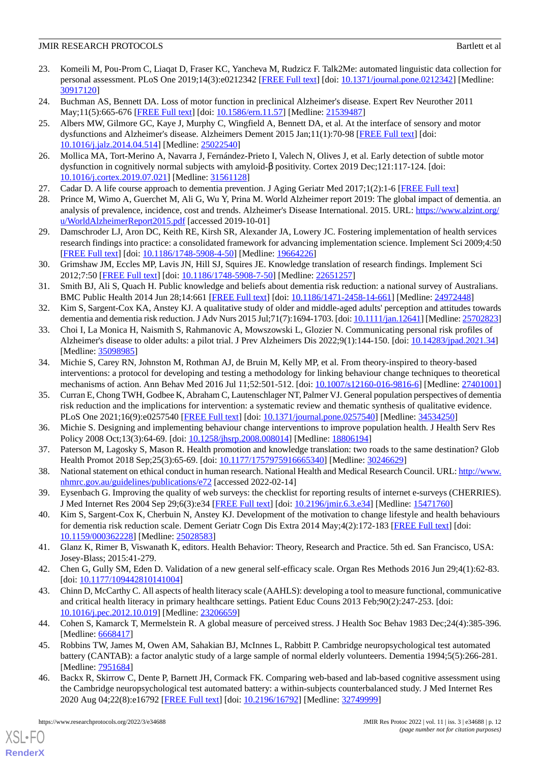- <span id="page-11-0"></span>23. Komeili M, Pou-Prom C, Liaqat D, Fraser KC, Yancheva M, Rudzicz F. Talk2Me: automated linguistic data collection for personal assessment. PLoS One 2019;14(3):e0212342 [[FREE Full text](https://dx.plos.org/10.1371/journal.pone.0212342)] [doi: [10.1371/journal.pone.0212342](http://dx.doi.org/10.1371/journal.pone.0212342)] [Medline: [30917120](http://www.ncbi.nlm.nih.gov/entrez/query.fcgi?cmd=Retrieve&db=PubMed&list_uids=30917120&dopt=Abstract)]
- <span id="page-11-1"></span>24. Buchman AS, Bennett DA. Loss of motor function in preclinical Alzheimer's disease. Expert Rev Neurother 2011 May;11(5):665-676 [\[FREE Full text\]](http://europepmc.org/abstract/MED/21539487) [doi: [10.1586/ern.11.57\]](http://dx.doi.org/10.1586/ern.11.57) [Medline: [21539487\]](http://www.ncbi.nlm.nih.gov/entrez/query.fcgi?cmd=Retrieve&db=PubMed&list_uids=21539487&dopt=Abstract)
- 25. Albers MW, Gilmore GC, Kaye J, Murphy C, Wingfield A, Bennett DA, et al. At the interface of sensory and motor dysfunctions and Alzheimer's disease. Alzheimers Dement 2015 Jan;11(1):70-98 [\[FREE Full text\]](http://europepmc.org/abstract/MED/25022540) [doi: [10.1016/j.jalz.2014.04.514](http://dx.doi.org/10.1016/j.jalz.2014.04.514)] [Medline: [25022540\]](http://www.ncbi.nlm.nih.gov/entrez/query.fcgi?cmd=Retrieve&db=PubMed&list_uids=25022540&dopt=Abstract)
- <span id="page-11-3"></span><span id="page-11-2"></span>26. Mollica MA, Tort-Merino A, Navarra J, Fernández-Prieto I, Valech N, Olives J, et al. Early detection of subtle motor dysfunction in cognitively normal subjects with amyloid-β positivity. Cortex 2019 Dec;121:117-124. [doi: [10.1016/j.cortex.2019.07.021](http://dx.doi.org/10.1016/j.cortex.2019.07.021)] [Medline: [31561128](http://www.ncbi.nlm.nih.gov/entrez/query.fcgi?cmd=Retrieve&db=PubMed&list_uids=31561128&dopt=Abstract)]
- <span id="page-11-4"></span>27. Cadar D. A life course approach to dementia prevention. J Aging Geriatr Med 2017;1(2):1-6 [\[FREE Full text\]](https://discovery.ucl.ac.uk/id/eprint/1558926/1/a-life-course-approach-to-dementia-prevention-6hOR.pdf)
- <span id="page-11-5"></span>28. Prince M, Wimo A, Guerchet M, Ali G, Wu Y, Prina M. World Alzheimer report 2019: The global impact of dementia. an analysis of prevalence, incidence, cost and trends. Alzheimer's Disease International. 2015. URL: [https://www.alzint.org/](https://www.alzint.org/u/WorldAlzheimerReport2015.pdf) [u/WorldAlzheimerReport2015.pdf](https://www.alzint.org/u/WorldAlzheimerReport2015.pdf) [accessed 2019-10-01]
- <span id="page-11-6"></span>29. Damschroder LJ, Aron DC, Keith RE, Kirsh SR, Alexander JA, Lowery JC. Fostering implementation of health services research findings into practice: a consolidated framework for advancing implementation science. Implement Sci 2009;4:50 [[FREE Full text](http://www.implementationscience.com/content/4//50)] [doi: [10.1186/1748-5908-4-50\]](http://dx.doi.org/10.1186/1748-5908-4-50) [Medline: [19664226\]](http://www.ncbi.nlm.nih.gov/entrez/query.fcgi?cmd=Retrieve&db=PubMed&list_uids=19664226&dopt=Abstract)
- <span id="page-11-7"></span>30. Grimshaw JM, Eccles MP, Lavis JN, Hill SJ, Squires JE. Knowledge translation of research findings. Implement Sci 2012;7:50 [[FREE Full text](http://www.implementationscience.com/content/7//50)] [doi: [10.1186/1748-5908-7-50\]](http://dx.doi.org/10.1186/1748-5908-7-50) [Medline: [22651257\]](http://www.ncbi.nlm.nih.gov/entrez/query.fcgi?cmd=Retrieve&db=PubMed&list_uids=22651257&dopt=Abstract)
- <span id="page-11-8"></span>31. Smith BJ, Ali S, Quach H. Public knowledge and beliefs about dementia risk reduction: a national survey of Australians. BMC Public Health 2014 Jun 28;14:661 [[FREE Full text](https://bmcpublichealth.biomedcentral.com/articles/10.1186/1471-2458-14-661)] [doi: [10.1186/1471-2458-14-661\]](http://dx.doi.org/10.1186/1471-2458-14-661) [Medline: [24972448](http://www.ncbi.nlm.nih.gov/entrez/query.fcgi?cmd=Retrieve&db=PubMed&list_uids=24972448&dopt=Abstract)]
- <span id="page-11-9"></span>32. Kim S, Sargent-Cox KA, Anstey KJ. A qualitative study of older and middle-aged adults' perception and attitudes towards dementia and dementia risk reduction. J Adv Nurs 2015 Jul;71(7):1694-1703. [doi: [10.1111/jan.12641](http://dx.doi.org/10.1111/jan.12641)] [Medline: [25702823\]](http://www.ncbi.nlm.nih.gov/entrez/query.fcgi?cmd=Retrieve&db=PubMed&list_uids=25702823&dopt=Abstract)
- <span id="page-11-10"></span>33. Choi I, La Monica H, Naismith S, Rahmanovic A, Mowszowski L, Glozier N. Communicating personal risk profiles of Alzheimer's disease to older adults: a pilot trial. J Prev Alzheimers Dis 2022;9(1):144-150. [doi: [10.14283/jpad.2021.34](http://dx.doi.org/10.14283/jpad.2021.34)] [Medline: [35098985](http://www.ncbi.nlm.nih.gov/entrez/query.fcgi?cmd=Retrieve&db=PubMed&list_uids=35098985&dopt=Abstract)]
- <span id="page-11-11"></span>34. Michie S, Carey RN, Johnston M, Rothman AJ, de Bruin M, Kelly MP, et al. From theory-inspired to theory-based interventions: a protocol for developing and testing a methodology for linking behaviour change techniques to theoretical mechanisms of action. Ann Behav Med 2016 Jul 11;52:501-512. [doi: [10.1007/s12160-016-9816-6\]](http://dx.doi.org/10.1007/s12160-016-9816-6) [Medline: [27401001](http://www.ncbi.nlm.nih.gov/entrez/query.fcgi?cmd=Retrieve&db=PubMed&list_uids=27401001&dopt=Abstract)]
- <span id="page-11-13"></span><span id="page-11-12"></span>35. Curran E, Chong TWH, Godbee K, Abraham C, Lautenschlager NT, Palmer VJ. General population perspectives of dementia risk reduction and the implications for intervention: a systematic review and thematic synthesis of qualitative evidence. PLoS One 2021;16(9):e0257540 [[FREE Full text](https://dx.plos.org/10.1371/journal.pone.0257540)] [doi: [10.1371/journal.pone.0257540\]](http://dx.doi.org/10.1371/journal.pone.0257540) [Medline: [34534250](http://www.ncbi.nlm.nih.gov/entrez/query.fcgi?cmd=Retrieve&db=PubMed&list_uids=34534250&dopt=Abstract)]
- <span id="page-11-14"></span>36. Michie S. Designing and implementing behaviour change interventions to improve population health. J Health Serv Res Policy 2008 Oct;13(3):64-69. [doi: [10.1258/jhsrp.2008.008014\]](http://dx.doi.org/10.1258/jhsrp.2008.008014) [Medline: [18806194](http://www.ncbi.nlm.nih.gov/entrez/query.fcgi?cmd=Retrieve&db=PubMed&list_uids=18806194&dopt=Abstract)]
- <span id="page-11-15"></span>37. Paterson M, Lagosky S, Mason R. Health promotion and knowledge translation: two roads to the same destination? Glob Health Promot 2018 Sep;25(3):65-69. [doi: [10.1177/1757975916665340](http://dx.doi.org/10.1177/1757975916665340)] [Medline: [30246629](http://www.ncbi.nlm.nih.gov/entrez/query.fcgi?cmd=Retrieve&db=PubMed&list_uids=30246629&dopt=Abstract)]
- <span id="page-11-16"></span>38. National statement on ethical conduct in human research. National Health and Medical Research Council. URL: [http://www.](http://www.nhmrc.gov.au/guidelines/publications/e72) [nhmrc.gov.au/guidelines/publications/e72](http://www.nhmrc.gov.au/guidelines/publications/e72) [accessed 2022-02-14]
- <span id="page-11-17"></span>39. Eysenbach G. Improving the quality of web surveys: the checklist for reporting results of internet e-surveys (CHERRIES). J Med Internet Res 2004 Sep 29;6(3):e34 [\[FREE Full text\]](http://www.jmir.org/2004/3/e34/) [doi: [10.2196/jmir.6.3.e34](http://dx.doi.org/10.2196/jmir.6.3.e34)] [Medline: [15471760](http://www.ncbi.nlm.nih.gov/entrez/query.fcgi?cmd=Retrieve&db=PubMed&list_uids=15471760&dopt=Abstract)]
- <span id="page-11-18"></span>40. Kim S, Sargent-Cox K, Cherbuin N, Anstey KJ. Development of the motivation to change lifestyle and health behaviours for dementia risk reduction scale. Dement Geriatr Cogn Dis Extra 2014 May;4(2):172-183 [\[FREE Full text\]](https://www.karger.com?DOI=10.1159/000362228) [doi: [10.1159/000362228\]](http://dx.doi.org/10.1159/000362228) [Medline: [25028583\]](http://www.ncbi.nlm.nih.gov/entrez/query.fcgi?cmd=Retrieve&db=PubMed&list_uids=25028583&dopt=Abstract)
- <span id="page-11-19"></span>41. Glanz K, Rimer B, Viswanath K, editors. Health Behavior: Theory, Research and Practice. 5th ed. San Francisco, USA: Josey-Blass; 2015:41-279.
- <span id="page-11-20"></span>42. Chen G, Gully SM, Eden D. Validation of a new general self-efficacy scale. Organ Res Methods 2016 Jun 29;4(1):62-83. [doi: [10.1177/109442810141004](http://dx.doi.org/10.1177/109442810141004)]
- <span id="page-11-21"></span>43. Chinn D, McCarthy C. All aspects of health literacy scale (AAHLS): developing a tool to measure functional, communicative and critical health literacy in primary healthcare settings. Patient Educ Couns 2013 Feb;90(2):247-253. [doi: [10.1016/j.pec.2012.10.019\]](http://dx.doi.org/10.1016/j.pec.2012.10.019) [Medline: [23206659](http://www.ncbi.nlm.nih.gov/entrez/query.fcgi?cmd=Retrieve&db=PubMed&list_uids=23206659&dopt=Abstract)]
- <span id="page-11-22"></span>44. Cohen S, Kamarck T, Mermelstein R. A global measure of perceived stress. J Health Soc Behav 1983 Dec;24(4):385-396. [Medline: [6668417\]](http://www.ncbi.nlm.nih.gov/entrez/query.fcgi?cmd=Retrieve&db=PubMed&list_uids=6668417&dopt=Abstract)
- 45. Robbins TW, James M, Owen AM, Sahakian BJ, McInnes L, Rabbitt P. Cambridge neuropsychological test automated battery (CANTAB): a factor analytic study of a large sample of normal elderly volunteers. Dementia 1994;5(5):266-281. [Medline: **7951684**]
- 46. Backx R, Skirrow C, Dente P, Barnett JH, Cormack FK. Comparing web-based and lab-based cognitive assessment using the Cambridge neuropsychological test automated battery: a within-subjects counterbalanced study. J Med Internet Res 2020 Aug 04;22(8):e16792 [\[FREE Full text\]](https://www.jmir.org/2020/8/e16792/) [doi: [10.2196/16792](http://dx.doi.org/10.2196/16792)] [Medline: [32749999\]](http://www.ncbi.nlm.nih.gov/entrez/query.fcgi?cmd=Retrieve&db=PubMed&list_uids=32749999&dopt=Abstract)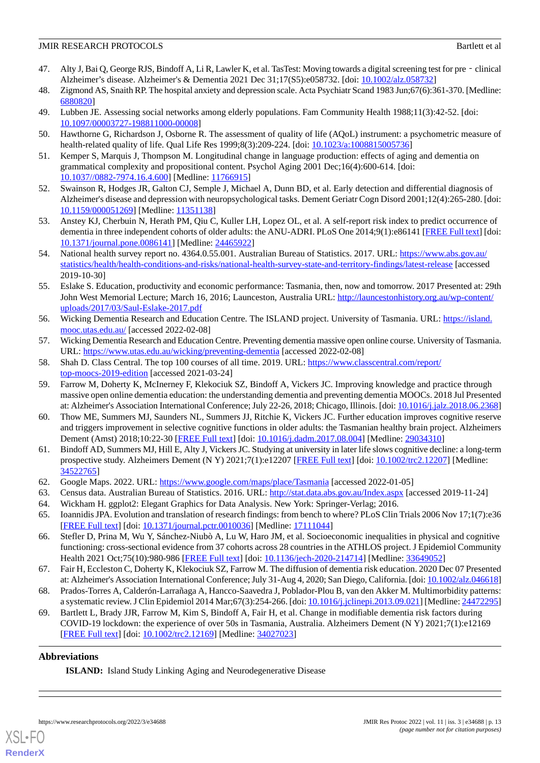- <span id="page-12-0"></span>47. Alty J, Bai Q, George RJS, Bindoff A, Li R, Lawler K, et al. TasTest: Moving towards a digital screening test for pre‐clinical Alzheimer's disease. Alzheimer's & Dementia 2021 Dec 31;17(S5):e058732. [doi: [10.1002/alz.058732\]](http://dx.doi.org/10.1002/alz.058732)
- <span id="page-12-2"></span><span id="page-12-1"></span>48. Zigmond AS, Snaith RP. The hospital anxiety and depression scale. Acta Psychiatr Scand 1983 Jun;67(6):361-370. [Medline: [6880820\]](http://www.ncbi.nlm.nih.gov/entrez/query.fcgi?cmd=Retrieve&db=PubMed&list_uids=6880820&dopt=Abstract)
- <span id="page-12-3"></span>49. Lubben JE. Assessing social networks among elderly populations. Fam Community Health 1988;11(3):42-52. [doi: [10.1097/00003727-198811000-00008](http://dx.doi.org/10.1097/00003727-198811000-00008)]
- <span id="page-12-4"></span>50. Hawthorne G, Richardson J, Osborne R. The assessment of quality of life (AQoL) instrument: a psychometric measure of health-related quality of life. Qual Life Res 1999;8(3):209-224. [doi: [10.1023/a:1008815005736\]](http://dx.doi.org/10.1023/a:1008815005736)
- <span id="page-12-5"></span>51. Kemper S, Marquis J, Thompson M. Longitudinal change in language production: effects of aging and dementia on grammatical complexity and propositional content. Psychol Aging 2001 Dec;16(4):600-614. [doi: [10.1037//0882-7974.16.4.600](http://dx.doi.org/10.1037//0882-7974.16.4.600)] [Medline: [11766915](http://www.ncbi.nlm.nih.gov/entrez/query.fcgi?cmd=Retrieve&db=PubMed&list_uids=11766915&dopt=Abstract)]
- <span id="page-12-6"></span>52. Swainson R, Hodges JR, Galton CJ, Semple J, Michael A, Dunn BD, et al. Early detection and differential diagnosis of Alzheimer's disease and depression with neuropsychological tasks. Dement Geriatr Cogn Disord 2001;12(4):265-280. [doi: [10.1159/000051269\]](http://dx.doi.org/10.1159/000051269) [Medline: [11351138\]](http://www.ncbi.nlm.nih.gov/entrez/query.fcgi?cmd=Retrieve&db=PubMed&list_uids=11351138&dopt=Abstract)
- <span id="page-12-7"></span>53. Anstey KJ, Cherbuin N, Herath PM, Qiu C, Kuller LH, Lopez OL, et al. A self-report risk index to predict occurrence of dementia in three independent cohorts of older adults: the ANU-ADRI. PLoS One 2014;9(1):e86141 [\[FREE Full text](https://dx.plos.org/10.1371/journal.pone.0086141)] [doi: [10.1371/journal.pone.0086141\]](http://dx.doi.org/10.1371/journal.pone.0086141) [Medline: [24465922](http://www.ncbi.nlm.nih.gov/entrez/query.fcgi?cmd=Retrieve&db=PubMed&list_uids=24465922&dopt=Abstract)]
- <span id="page-12-8"></span>54. National health survey report no. 4364.0.55.001. Australian Bureau of Statistics. 2017. URL: [https://www.abs.gov.au/](https://www.abs.gov.au/statistics/health/health-conditions-and-risks/national-health-survey-state-and-territory-findings/latest-release) [statistics/health/health-conditions-and-risks/national-health-survey-state-and-territory-findings/latest-release](https://www.abs.gov.au/statistics/health/health-conditions-and-risks/national-health-survey-state-and-territory-findings/latest-release) [accessed 2019-10-30]
- <span id="page-12-9"></span>55. Eslake S. Education, productivity and economic performance: Tasmania, then, now and tomorrow. 2017 Presented at: 29th John West Memorial Lecture; March 16, 2016; Launceston, Australia URL: [http://launcestonhistory.org.au/wp-content/](http://launcestonhistory.org.au/wp-content/uploads/2017/03/Saul-Eslake-2017.pdf) [uploads/2017/03/Saul-Eslake-2017.pdf](http://launcestonhistory.org.au/wp-content/uploads/2017/03/Saul-Eslake-2017.pdf)
- <span id="page-12-11"></span><span id="page-12-10"></span>56. Wicking Dementia Research and Education Centre. The ISLAND project. University of Tasmania. URL: [https://island.](https://island.mooc.utas.edu.au/) [mooc.utas.edu.au/](https://island.mooc.utas.edu.au/) [accessed 2022-02-08]
- <span id="page-12-12"></span>57. Wicking Dementia Research and Education Centre. Preventing dementia massive open online course. University of Tasmania. URL: <https://www.utas.edu.au/wicking/preventing-dementia> [accessed 2022-02-08]
- 58. Shah D. Class Central. The top 100 courses of all time. 2019. URL: [https://www.classcentral.com/report/](https://www.classcentral.com/report/top-moocs-2019-edition) [top-moocs-2019-edition](https://www.classcentral.com/report/top-moocs-2019-edition) [accessed 2021-03-24]
- <span id="page-12-13"></span>59. Farrow M, Doherty K, McInerney F, Klekociuk SZ, Bindoff A, Vickers JC. Improving knowledge and practice through massive open online dementia education: the understanding dementia and preventing dementia MOOCs. 2018 Jul Presented at: Alzheimer's Association International Conference; July 22-26, 2018; Chicago, Illinois. [doi: [10.1016/j.jalz.2018.06.2368\]](http://dx.doi.org/10.1016/j.jalz.2018.06.2368)
- <span id="page-12-14"></span>60. Thow ME, Summers MJ, Saunders NL, Summers JJ, Ritchie K, Vickers JC. Further education improves cognitive reserve and triggers improvement in selective cognitive functions in older adults: the Tasmanian healthy brain project. Alzheimers Dement (Amst) 2018;10:22-30 [\[FREE Full text\]](https://linkinghub.elsevier.com/retrieve/pii/S2352-8729(17)30051-9) [doi: [10.1016/j.dadm.2017.08.004](http://dx.doi.org/10.1016/j.dadm.2017.08.004)] [Medline: [29034310\]](http://www.ncbi.nlm.nih.gov/entrez/query.fcgi?cmd=Retrieve&db=PubMed&list_uids=29034310&dopt=Abstract)
- <span id="page-12-18"></span><span id="page-12-17"></span><span id="page-12-16"></span><span id="page-12-15"></span>61. Bindoff AD, Summers MJ, Hill E, Alty J, Vickers JC. Studying at university in later life slows cognitive decline: a long-term prospective study. Alzheimers Dement (N Y) 2021;7(1):e12207 [\[FREE Full text\]](http://europepmc.org/abstract/MED/34522765) [doi: [10.1002/trc2.12207](http://dx.doi.org/10.1002/trc2.12207)] [Medline: [34522765](http://www.ncbi.nlm.nih.gov/entrez/query.fcgi?cmd=Retrieve&db=PubMed&list_uids=34522765&dopt=Abstract)]
- <span id="page-12-19"></span>62. Google Maps. 2022. URL: <https://www.google.com/maps/place/Tasmania> [accessed 2022-01-05]
- 63. Census data. Australian Bureau of Statistics. 2016. URL:<http://stat.data.abs.gov.au/Index.aspx> [accessed 2019-11-24]
- 64. Wickham H. ggplot2: Elegant Graphics for Data Analysis. New York: Springer-Verlag; 2016.
- <span id="page-12-20"></span>65. Ioannidis JPA. Evolution and translation of research findings: from bench to where? PLoS Clin Trials 2006 Nov 17;1(7):e36 [[FREE Full text](https://dx.plos.org/10.1371/journal.pctr.0010036)] [doi: [10.1371/journal.pctr.0010036](http://dx.doi.org/10.1371/journal.pctr.0010036)] [Medline: [17111044\]](http://www.ncbi.nlm.nih.gov/entrez/query.fcgi?cmd=Retrieve&db=PubMed&list_uids=17111044&dopt=Abstract)
- <span id="page-12-22"></span><span id="page-12-21"></span>66. Stefler D, Prina M, Wu Y, Sánchez-Niubò A, Lu W, Haro JM, et al. Socioeconomic inequalities in physical and cognitive functioning: cross-sectional evidence from 37 cohorts across 28 countries in the ATHLOS project. J Epidemiol Community Health 2021 Oct;75(10):980-986 [\[FREE Full text](http://jech.bmj.com/lookup/pmidlookup?view=long&pmid=33649052)] [doi: [10.1136/jech-2020-214714](http://dx.doi.org/10.1136/jech-2020-214714)] [Medline: [33649052](http://www.ncbi.nlm.nih.gov/entrez/query.fcgi?cmd=Retrieve&db=PubMed&list_uids=33649052&dopt=Abstract)]
- 67. Fair H, Eccleston C, Doherty K, Klekociuk SZ, Farrow M. The diffusion of dementia risk education. 2020 Dec 07 Presented at: Alzheimer's Association International Conference; July 31-Aug 4, 2020; San Diego, California. [doi: [10.1002/alz.046618\]](http://dx.doi.org/10.1002/alz.046618)
- 68. Prados-Torres A, Calderón-Larrañaga A, Hancco-Saavedra J, Poblador-Plou B, van den Akker M. Multimorbidity patterns: a systematic review. J Clin Epidemiol 2014 Mar;67(3):254-266. [doi: [10.1016/j.jclinepi.2013.09.021\]](http://dx.doi.org/10.1016/j.jclinepi.2013.09.021) [Medline: [24472295](http://www.ncbi.nlm.nih.gov/entrez/query.fcgi?cmd=Retrieve&db=PubMed&list_uids=24472295&dopt=Abstract)]
- 69. Bartlett L, Brady JJR, Farrow M, Kim S, Bindoff A, Fair H, et al. Change in modifiable dementia risk factors during COVID-19 lockdown: the experience of over 50s in Tasmania, Australia. Alzheimers Dement (N Y) 2021;7(1):e12169 [[FREE Full text](http://europepmc.org/abstract/MED/34027023)] [doi: [10.1002/trc2.12169\]](http://dx.doi.org/10.1002/trc2.12169) [Medline: [34027023\]](http://www.ncbi.nlm.nih.gov/entrez/query.fcgi?cmd=Retrieve&db=PubMed&list_uids=34027023&dopt=Abstract)

## **Abbreviations**

**ISLAND:** Island Study Linking Aging and Neurodegenerative Disease